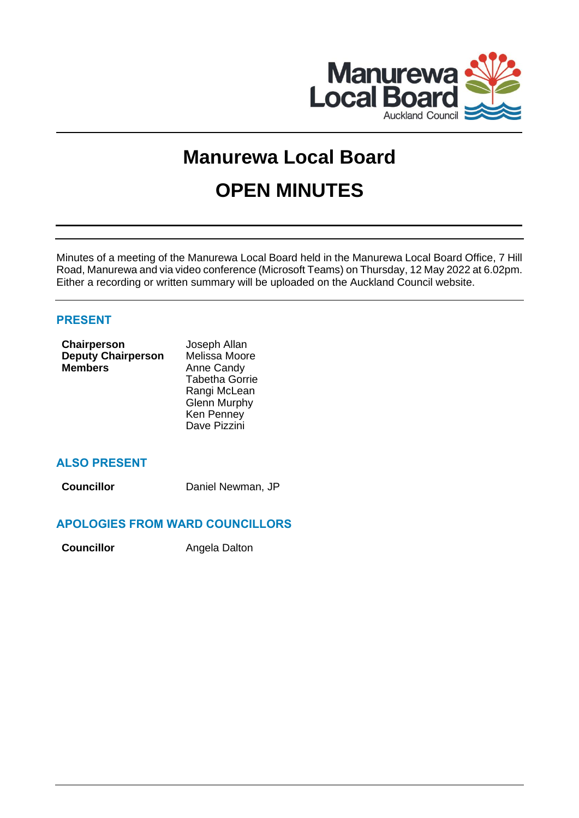

# **Manurewa Local Board OPEN MINUTES**

Minutes of a meeting of the Manurewa Local Board held in the Manurewa Local Board Office, 7 Hill Road, Manurewa and via video conference (Microsoft Teams) on Thursday, 12 May 2022 at 6.02pm. Either a recording or written summary will be uploaded on the Auckland Council website.

# **PRESENT**

| Chairperson               | Joseph Allan          |
|---------------------------|-----------------------|
| <b>Deputy Chairperson</b> | Melissa Moore         |
| <b>Members</b>            | Anne Candy            |
|                           | <b>Tabetha Gorrie</b> |
|                           | Rangi McLean          |
|                           | <b>Glenn Murphy</b>   |
|                           | Ken Penney            |
|                           | Dave Pizzini          |
|                           |                       |

# **ALSO PRESENT**

**Councillor** Daniel Newman, JP

# **APOLOGIES FROM WARD COUNCILLORS**

**Councillor Angela Dalton**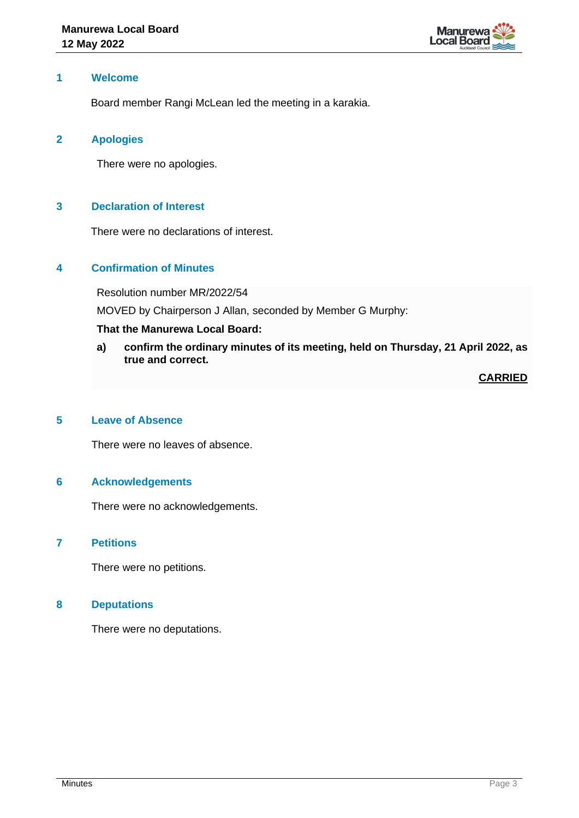

## **1 Welcome**

Board member Rangi McLean led the meeting in a karakia.

## **2 Apologies**

There were no apologies.

## **3 Declaration of Interest**

There were no declarations of interest.

## **4 Confirmation of Minutes**

Resolution number MR/2022/54

MOVED by Chairperson J Allan, seconded by Member G Murphy:

## **That the Manurewa Local Board:**

**a) confirm the ordinary minutes of its meeting, held on Thursday, 21 April 2022, as true and correct.**

**CARRIED**

## **5 Leave of Absence**

There were no leaves of absence.

#### **6 Acknowledgements**

There were no acknowledgements.

#### **7 Petitions**

There were no petitions.

#### **8 Deputations**

There were no deputations.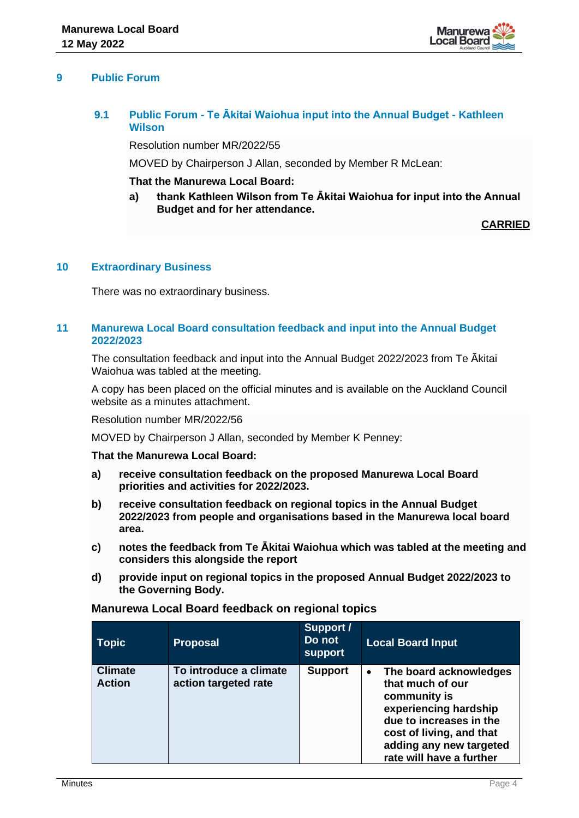

## **9 Public Forum**

# **9.1 Public Forum - Te Ākitai Waiohua input into the Annual Budget - Kathleen Wilson**

Resolution number MR/2022/55

MOVED by Chairperson J Allan, seconded by Member R McLean:

#### **That the Manurewa Local Board:**

**a) thank Kathleen Wilson from Te Ākitai Waiohua for input into the Annual Budget and for her attendance.** 

**CARRIED**

#### **10 Extraordinary Business**

There was no extraordinary business.

#### **11 Manurewa Local Board consultation feedback and input into the Annual Budget 2022/2023**

The consultation feedback and input into the Annual Budget 2022/2023 from Te Ākitai Waiohua was tabled at the meeting.

A copy has been placed on the official minutes and is available on the Auckland Council website as a minutes attachment.

Resolution number MR/2022/56

MOVED by Chairperson J Allan, seconded by Member K Penney:

#### **That the Manurewa Local Board:**

- **a) receive consultation feedback on the proposed Manurewa Local Board priorities and activities for 2022/2023.**
- **b) receive consultation feedback on regional topics in the Annual Budget 2022/2023 from people and organisations based in the Manurewa local board area.**
- **c) notes the feedback from Te Ākitai Waiohua which was tabled at the meeting and considers this alongside the report**
- **d) provide input on regional topics in the proposed Annual Budget 2022/2023 to the Governing Body.**

| Manurewa Local Board feedback on regional topics |  |
|--------------------------------------------------|--|
|                                                  |  |

| <b>Topic</b>                    | <b>Proposal</b>                                | Support /<br>Do not<br><b>support</b> | <b>Local Board Input</b>                                                                                                                                                                                       |
|---------------------------------|------------------------------------------------|---------------------------------------|----------------------------------------------------------------------------------------------------------------------------------------------------------------------------------------------------------------|
| <b>Climate</b><br><b>Action</b> | To introduce a climate<br>action targeted rate | <b>Support</b>                        | The board acknowledges<br>$\bullet$<br>that much of our<br>community is<br>experiencing hardship<br>due to increases in the<br>cost of living, and that<br>adding any new targeted<br>rate will have a further |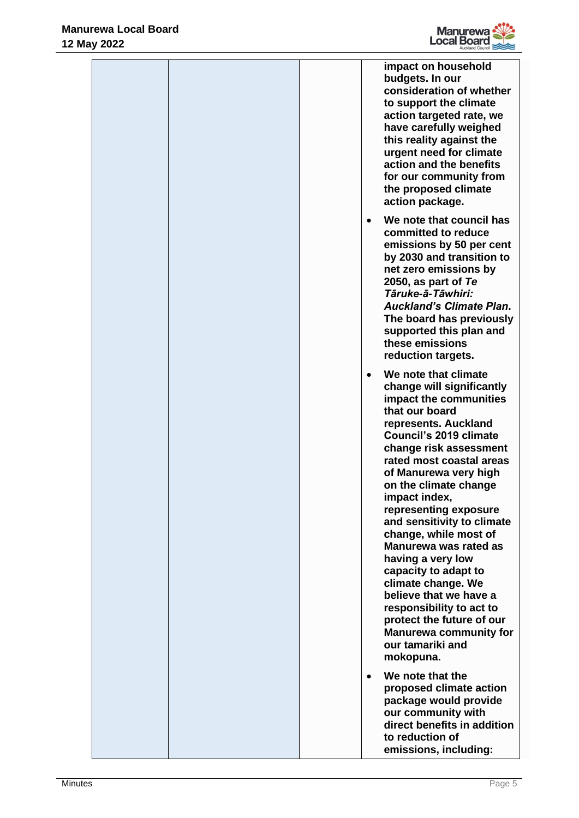

|  |           | impact on household<br>budgets. In our<br>consideration of whether<br>to support the climate<br>action targeted rate, we<br>have carefully weighed<br>this reality against the<br>urgent need for climate<br>action and the benefits<br>for our community from<br>the proposed climate<br>action package.                                                                                                                                                                                                                                                                                                               |
|--|-----------|-------------------------------------------------------------------------------------------------------------------------------------------------------------------------------------------------------------------------------------------------------------------------------------------------------------------------------------------------------------------------------------------------------------------------------------------------------------------------------------------------------------------------------------------------------------------------------------------------------------------------|
|  | $\bullet$ | We note that council has<br>committed to reduce<br>emissions by 50 per cent<br>by 2030 and transition to<br>net zero emissions by<br>2050, as part of $Te$<br>Tāruke-ā-Tāwhiri:<br><b>Auckland's Climate Plan.</b><br>The board has previously<br>supported this plan and<br>these emissions<br>reduction targets.                                                                                                                                                                                                                                                                                                      |
|  | $\bullet$ | We note that climate<br>change will significantly<br>impact the communities<br>that our board<br>represents. Auckland<br><b>Council's 2019 climate</b><br>change risk assessment<br>rated most coastal areas<br>of Manurewa very high<br>on the climate change<br>impact index,<br>representing exposure<br>and sensitivity to climate<br>change, while most of<br><b>Manurewa was rated as</b><br>having a very low<br>capacity to adapt to<br>climate change. We<br>believe that we have a<br>responsibility to act to<br>protect the future of our<br><b>Manurewa community for</b><br>our tamariki and<br>mokopuna. |
|  | $\bullet$ | We note that the<br>proposed climate action<br>package would provide<br>our community with<br>direct benefits in addition<br>to reduction of<br>emissions, including:                                                                                                                                                                                                                                                                                                                                                                                                                                                   |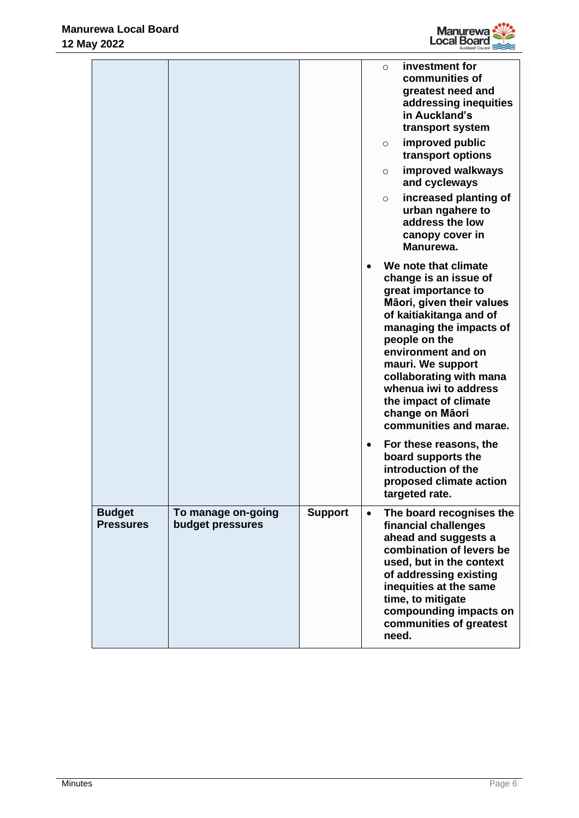

|                                   |                                        |                |           | $\circ$<br>$\circ$<br>$\circ$<br>$\circ$ | investment for<br>communities of<br>greatest need and<br>addressing inequities<br>in Auckland's<br>transport system<br>improved public<br>transport options<br>improved walkways<br>and cycleways<br>increased planting of<br>urban ngahere to<br>address the low<br>canopy cover in<br>Manurewa.                                             |
|-----------------------------------|----------------------------------------|----------------|-----------|------------------------------------------|-----------------------------------------------------------------------------------------------------------------------------------------------------------------------------------------------------------------------------------------------------------------------------------------------------------------------------------------------|
|                                   |                                        |                |           |                                          | We note that climate<br>change is an issue of<br>great importance to<br>Māori, given their values<br>of kaitiakitanga and of<br>managing the impacts of<br>people on the<br>environment and on<br>mauri. We support<br>collaborating with mana<br>whenua iwi to address<br>the impact of climate<br>change on Māori<br>communities and marae. |
|                                   |                                        |                |           |                                          | For these reasons, the<br>board supports the<br>introduction of the<br>proposed climate action<br>targeted rate.                                                                                                                                                                                                                              |
| <b>Budget</b><br><b>Pressures</b> | To manage on-going<br>budget pressures | <b>Support</b> | $\bullet$ | need.                                    | The board recognises the<br>financial challenges<br>ahead and suggests a<br>combination of levers be<br>used, but in the context<br>of addressing existing<br>inequities at the same<br>time, to mitigate<br>compounding impacts on<br>communities of greatest                                                                                |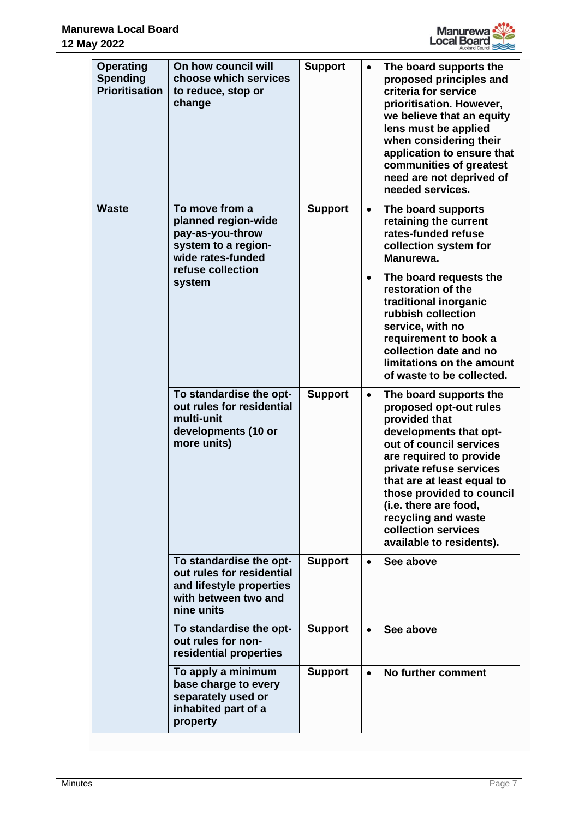

| <b>Operating</b>                         | On how council will                                                                                                    |                |           |                                                                                                                                                                                                                                                                                                                                            |
|------------------------------------------|------------------------------------------------------------------------------------------------------------------------|----------------|-----------|--------------------------------------------------------------------------------------------------------------------------------------------------------------------------------------------------------------------------------------------------------------------------------------------------------------------------------------------|
| <b>Spending</b><br><b>Prioritisation</b> | choose which services<br>to reduce, stop or<br>change                                                                  | <b>Support</b> | $\bullet$ | The board supports the<br>proposed principles and<br>criteria for service<br>prioritisation. However,<br>we believe that an equity<br>lens must be applied<br>when considering their<br>application to ensure that<br>communities of greatest<br>need are not deprived of<br>needed services.                                              |
| <b>Waste</b>                             | To move from a<br>planned region-wide<br>pay-as-you-throw<br>system to a region-<br>wide rates-funded                  | <b>Support</b> | $\bullet$ | The board supports<br>retaining the current<br>rates-funded refuse<br>collection system for<br>Manurewa.                                                                                                                                                                                                                                   |
|                                          | refuse collection<br>system                                                                                            |                | $\bullet$ | The board requests the<br>restoration of the<br>traditional inorganic<br>rubbish collection<br>service, with no<br>requirement to book a<br>collection date and no<br>limitations on the amount<br>of waste to be collected.                                                                                                               |
|                                          | To standardise the opt-<br>out rules for residential<br>multi-unit<br>developments (10 or<br>more units)               | <b>Support</b> | $\bullet$ | The board supports the<br>proposed opt-out rules<br>provided that<br>developments that opt-<br>out of council services<br>are required to provide<br>private refuse services<br>that are at least equal to<br>those provided to council<br>(i.e. there are food,<br>recycling and waste<br>collection services<br>available to residents). |
|                                          | To standardise the opt-<br>out rules for residential<br>and lifestyle properties<br>with between two and<br>nine units | <b>Support</b> | $\bullet$ | See above                                                                                                                                                                                                                                                                                                                                  |
|                                          | To standardise the opt-<br>out rules for non-<br>residential properties                                                | <b>Support</b> | $\bullet$ | See above                                                                                                                                                                                                                                                                                                                                  |
|                                          | To apply a minimum<br>base charge to every<br>separately used or<br>inhabited part of a<br>property                    | <b>Support</b> | $\bullet$ | No further comment                                                                                                                                                                                                                                                                                                                         |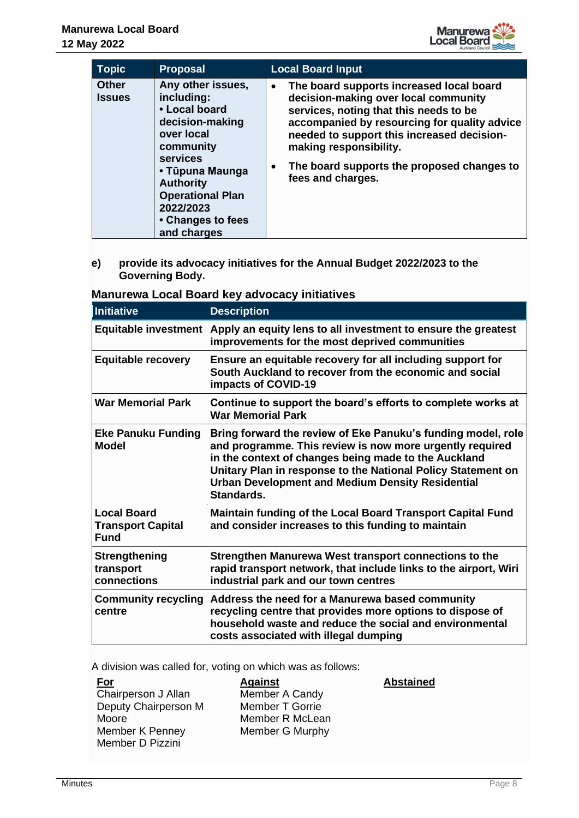

| <b>Topic</b>                  | <b>Proposal</b>                                                                                                                                                                                                                      | <b>Local Board Input</b>                                                                                                                                                                                                                                                                                                                        |
|-------------------------------|--------------------------------------------------------------------------------------------------------------------------------------------------------------------------------------------------------------------------------------|-------------------------------------------------------------------------------------------------------------------------------------------------------------------------------------------------------------------------------------------------------------------------------------------------------------------------------------------------|
| <b>Other</b><br><b>Issues</b> | Any other issues,<br>including:<br>• Local board<br>decision-making<br>over local<br>community<br><b>services</b><br>• Tūpuna Maunga<br><b>Authority</b><br><b>Operational Plan</b><br>2022/2023<br>• Changes to fees<br>and charges | The board supports increased local board<br>$\bullet$<br>decision-making over local community<br>services, noting that this needs to be<br>accompanied by resourcing for quality advice<br>needed to support this increased decision-<br>making responsibility.<br>The board supports the proposed changes to<br>$\bullet$<br>fees and charges. |

**e) provide its advocacy initiatives for the Annual Budget 2022/2023 to the Governing Body.**

| Manurewa Local Board key advocacy initiatives |  |  |
|-----------------------------------------------|--|--|
|-----------------------------------------------|--|--|

| Initiative                                                    | <b>Description</b>                                                                                                                                                                                                                                                                                                        |
|---------------------------------------------------------------|---------------------------------------------------------------------------------------------------------------------------------------------------------------------------------------------------------------------------------------------------------------------------------------------------------------------------|
|                                                               | Equitable investment Apply an equity lens to all investment to ensure the greatest<br>improvements for the most deprived communities                                                                                                                                                                                      |
| <b>Equitable recovery</b>                                     | Ensure an equitable recovery for all including support for<br>South Auckland to recover from the economic and social<br>impacts of COVID-19                                                                                                                                                                               |
| <b>War Memorial Park</b>                                      | Continue to support the board's efforts to complete works at<br><b>War Memorial Park</b>                                                                                                                                                                                                                                  |
| <b>Eke Panuku Funding</b><br><b>Model</b>                     | Bring forward the review of Eke Panuku's funding model, role<br>and programme. This review is now more urgently required<br>in the context of changes being made to the Auckland<br>Unitary Plan in response to the National Policy Statement on<br><b>Urban Development and Medium Density Residential</b><br>Standards. |
| <b>Local Board</b><br><b>Transport Capital</b><br><b>Fund</b> | <b>Maintain funding of the Local Board Transport Capital Fund</b><br>and consider increases to this funding to maintain                                                                                                                                                                                                   |
| <b>Strengthening</b><br>transport<br>connections              | Strengthen Manurewa West transport connections to the<br>rapid transport network, that include links to the airport, Wiri<br>industrial park and our town centres                                                                                                                                                         |
| centre                                                        | Community recycling Address the need for a Manurewa based community<br>recycling centre that provides more options to dispose of<br>household waste and reduce the social and environmental<br>costs associated with illegal dumping                                                                                      |

A division was called for, voting on which was as follows:

| <u>For</u>           | <b>Against</b>         | <b>Abstained</b> |
|----------------------|------------------------|------------------|
| Chairperson J Allan  | Member A Candy         |                  |
| Deputy Chairperson M | <b>Member T Gorrie</b> |                  |
| Moore                | Member R McLean        |                  |
| Member K Penney      | Member G Murphy        |                  |
| Member D Pizzini     |                        |                  |